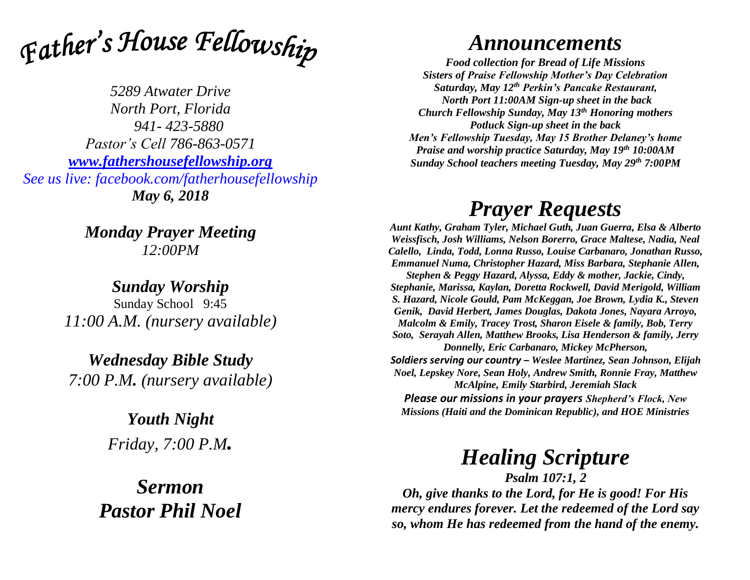

*5289 Atwater Drive North Port, Florida 941- 423-5880 Pastor's Cell 786-863-0571 [www.fathershousefellowship.org](http://www.fathershousefellowship.org/) See us live: facebook.com/fatherhousefellowship May 6, 2018*

> *Monday Prayer Meeting 12:00PM*

*Sunday Worship* Sunday School 9:45 *11:00 A.M. (nursery available)*

*Wednesday Bible Study 7:00 P.M. (nursery available)*

> *Youth Night Friday, 7:00 P.M.*

*Sermon Pastor Phil Noel*

## *Announcements*

*Food collection for Bread of Life Missions Sisters of Praise Fellowship Mother's Day Celebration Saturday, May 12th Perkin's Pancake Restaurant, North Port 11:00AM Sign-up sheet in the back Church Fellowship Sunday, May 13th Honoring mothers Potluck Sign-up sheet in the back Men's Fellowship Tuesday, May 15 Brother Delaney's home Praise and worship practice Saturday, May 19th 10:00AM Sunday School teachers meeting Tuesday, May 29th 7:00PM* 

## *Prayer Requests*

*Aunt Kathy, Graham Tyler, Michael Guth, Juan Guerra, Elsa & Alberto Weissfisch, Josh Williams, Nelson Borerro, Grace Maltese, Nadia, Neal Calello, Linda, Todd, Lonna Russo, Louise Carbanaro, Jonathan Russo, Emmanuel Numa, Christopher Hazard, Miss Barbara, Stephanie Allen, Stephen & Peggy Hazard, Alyssa, Eddy & mother, Jackie, Cindy, Stephanie, Marissa, Kaylan, Doretta Rockwell, David Merigold, William S. Hazard, Nicole Gould, Pam McKeggan, Joe Brown, Lydia K., Steven Genik, David Herbert, James Douglas, Dakota Jones, Nayara Arroyo, Malcolm & Emily, Tracey Trost, Sharon Eisele & family, Bob, Terry Soto, Serayah Allen, Matthew Brooks, Lisa Henderson & family, Jerry Donnelly, Eric Carbanaro, Mickey McPherson, Soldiers serving our country – Weslee Martinez, Sean Johnson, Elijah Noel, Lepskey Nore, Sean Holy, Andrew Smith, Ronnie Fray, Matthew McAlpine, Emily Starbird, Jeremiah Slack Please our missions in your prayers Shepherd's Flock, New* 

*Missions (Haiti and the Dominican Republic), and HOE Ministries*

## *Healing Scripture*

*Psalm 107:1, 2 Oh, give thanks to the Lord, for He is good! For His mercy endures forever. Let the redeemed of the Lord say so, whom He has redeemed from the hand of the enemy.*